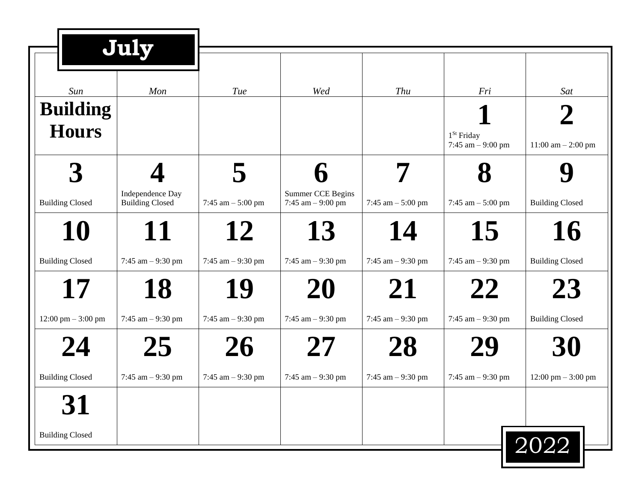|                                 | July                                       |                          |                                          |                           |                                     |                                            |
|---------------------------------|--------------------------------------------|--------------------------|------------------------------------------|---------------------------|-------------------------------------|--------------------------------------------|
| Sun                             | Mon                                        | <b>Tue</b>               | Wed                                      | Thu                       | Fri                                 | Sat                                        |
| <b>Building</b><br><b>Hours</b> |                                            |                          |                                          |                           | $1St$ Friday<br>7:45 am $-$ 9:00 pm | $11:00$ am $- 2:00$ pm                     |
| <b>Building Closed</b>          | Independence Day<br><b>Building Closed</b> | 7:45 am $-$ 5:00 pm      | Summer CCE Begins<br>7:45 $am - 9:00 pm$ | 7:45 am $-$ 5:00 pm       | 7:45 am $-$ 5:00 pm                 | <b>Building Closed</b>                     |
| 10<br><b>Building Closed</b>    | 11<br>7:45 am $-9:30$ pm                   | 12<br>7:45 am $-9:30$ pm | 13<br>7:45 $am - 9:30 pm$                | 14<br>7:45 $am - 9:30 pm$ | 15<br>7:45 $am - 9:30 pm$           | 16<br><b>Building Closed</b>               |
| 17<br>12:00 pm $-3:00$ pm       | 18<br>7:45 am $-9:30$ pm                   | 19<br>7:45 am $-9:30$ pm | 20<br>7:45 $am - 9:30 pm$                | 21<br>7:45 $am - 9:30 pm$ | 22<br>7:45 am $-9:30$ pm            | 23<br><b>Building Closed</b>               |
| 24<br><b>Building Closed</b>    | 25<br>7:45 $am - 9:30 pm$                  | 26<br>7:45 am $-9:30$ pm | 27<br>7:45 $am - 9:30 pm$                | 28<br>7:45 $am - 9:30 pm$ | 29<br>7:45 am $-9:30$ pm            | 30<br>$12:00 \text{ pm} - 3:00 \text{ pm}$ |
| 31<br><b>Building Closed</b>    |                                            |                          |                                          |                           |                                     | 2022                                       |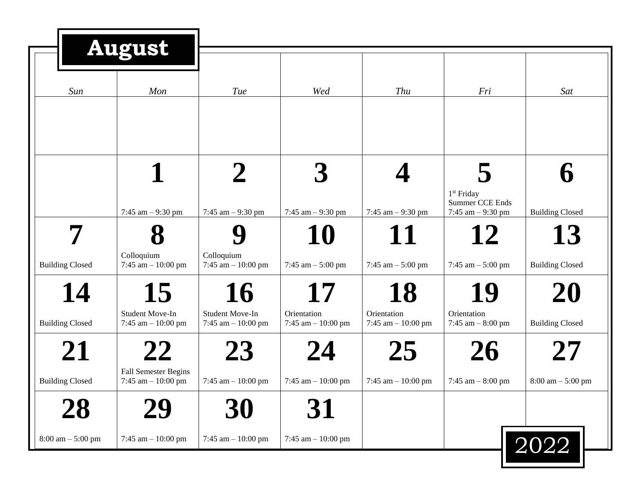|                              | <b>August</b>                                                    |                                                         |                                                 |                                                 |                                                  |                                                        |
|------------------------------|------------------------------------------------------------------|---------------------------------------------------------|-------------------------------------------------|-------------------------------------------------|--------------------------------------------------|--------------------------------------------------------|
| Sun                          | Mon                                                              | Tue                                                     | Wed                                             | Thu                                             | Fri                                              | Sat                                                    |
|                              |                                                                  |                                                         |                                                 |                                                 | $1st$ Friday<br>Summer CCE Ends                  |                                                        |
| <b>Building Closed</b>       | 7:45 am $-9:30$ pm<br>Colloquium<br>7:45 am $- 10:00$ pm         | 7:45 am $-9:30$ pm<br>Colloquium<br>7:45 am $-10:00$ pm | 7:45 am $-9:30$ pm<br>10<br>7:45 am $-$ 5:00 pm | 7:45 am $-9:30$ pm<br>11<br>7:45 $am - 5:00 pm$ | 7:45 $am - 9:30 pm$<br>12<br>7:45 am $-$ 5:00 pm | <b>Building Closed</b><br>13<br><b>Building Closed</b> |
| 14<br><b>Building Closed</b> | 15<br>Student Move-In<br>7:45 $am - 10:00 pm$                    | 16<br>Student Move-In<br>7:45 am $-10:00$ pm            | Orientation<br>7:45 am $- 10:00$ pm             | 18<br>Orientation<br>7:45 am $- 10:00$ pm       | 19<br>Orientation<br>7:45 $am - 8:00 pm$         | 20<br><b>Building Closed</b>                           |
| 21<br><b>Building Closed</b> | <b>22</b><br><b>Fall Semester Begins</b><br>7:45 am $- 10:00$ pm | 23<br>7:45 am $-10:00$ pm                               | 24<br>7:45 am $- 10:00$ pm                      | 25<br>7:45 am $-10:00$ pm                       | 26<br>7:45 am $-8:00$ pm                         | $8:00 \text{ am} - 5:00 \text{ pm}$                    |
| 28<br>$8:00$ am $-5:00$ pm   | 7:45 am $- 10:00$ pm                                             | 30<br>7:45 am $-10:00$ pm                               | 31<br>7:45 am $- 10:00$ pm                      |                                                 |                                                  | 2022                                                   |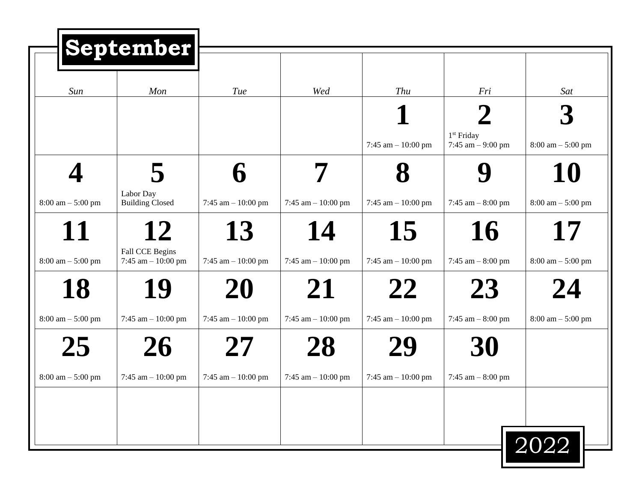| Mon                                     | <b>Tue</b>           | Wed                  | Thu                  | Fri                                 | Sat                                 |
|-----------------------------------------|----------------------|----------------------|----------------------|-------------------------------------|-------------------------------------|
|                                         |                      |                      |                      |                                     |                                     |
|                                         |                      |                      | 7:45 am $-10:00$ pm  | $1st$ Friday<br>7:45 $am - 9:00 pm$ | $8:00 \text{ am} - 5:00 \text{ pm}$ |
| 5                                       |                      | 7                    |                      |                                     | 10                                  |
| Labor Day<br><b>Building Closed</b>     | 7:45 am $-$ 10:00 pm | 7:45 am $- 10:00$ pm | 7:45 am $-10:00$ pm  | 7:45 am $-8:00$ pm                  | $8:00 \text{ am} - 5:00 \text{ pm}$ |
| 12                                      | 13                   | 14                   | 15                   | 16                                  | 17                                  |
| Fall CCE Begins<br>7:45 am $- 10:00$ pm | 7:45 am $-10:00$ pm  | 7:45 am $- 10:00$ pm | 7:45 am $-10:00$ pm  | 7:45 am $-8:00$ pm                  | $8:00 \text{ am} - 5:00 \text{ pm}$ |
| 19                                      | 20                   | 21                   | 22                   | 23                                  | 24                                  |
| 7:45 am $- 10:00$ pm                    | 7:45 am $-10:00$ pm  | 7:45 am $- 10:00$ pm | 7:45 am $-10:00$ pm  | 7:45 am $-8:00$ pm                  | $8:00 \text{ am} - 5:00 \text{ pm}$ |
| 26                                      |                      | 28                   | 29                   | 30                                  |                                     |
| 7:45 am $- 10:00$ pm                    | 7:45 am $-10:00$ pm  | 7:45 am $- 10:00$ pm | 7:45 am $- 10:00$ pm | 7:45 am $-8:00$ pm                  |                                     |
|                                         |                      |                      |                      |                                     |                                     |
|                                         |                      |                      |                      |                                     | $\boxed{2022}$                      |
|                                         |                      | September            |                      |                                     |                                     |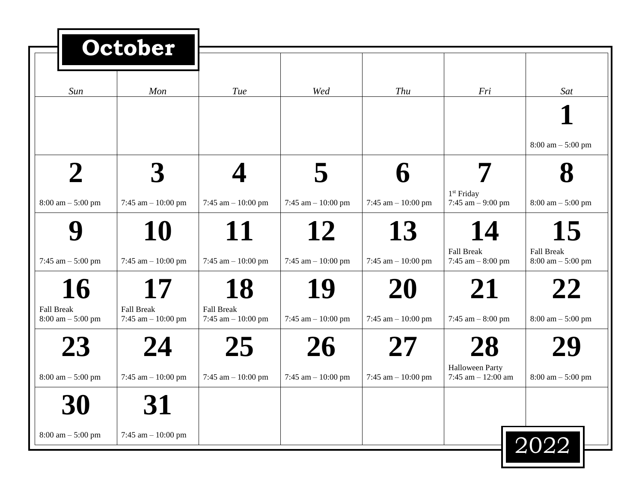|                                     | October                                   |                                           |                      |                      |                                               |                                                          |
|-------------------------------------|-------------------------------------------|-------------------------------------------|----------------------|----------------------|-----------------------------------------------|----------------------------------------------------------|
| Sun                                 | Mon                                       | Tue                                       | Wed                  | Thu                  | Fri                                           | Sat                                                      |
|                                     |                                           |                                           |                      |                      |                                               |                                                          |
|                                     |                                           |                                           |                      |                      |                                               | $8:00 \text{ am} - 5:00 \text{ pm}$                      |
|                                     |                                           |                                           |                      |                      |                                               |                                                          |
| $8:00 \text{ am} - 5:00 \text{ pm}$ | 7:45 am $- 10:00$ pm                      | 7:45 am $-10:00$ pm                       | 7:45 am $- 10:00$ pm | 7:45 am $- 10:00$ pm | 1 <sup>st</sup> Friday<br>7:45 $am - 9:00 pm$ | $8:00 \text{ am} - 5:00 \text{ pm}$                      |
|                                     | 10                                        | 11                                        | 12                   | 13                   | 14                                            | 15                                                       |
| 7:45 am $-$ 5:00 pm                 | 7:45 am $- 10:00$ pm                      | 7:45 am $-10:00$ pm                       | 7:45 am $- 10:00$ pm | 7:45 am $- 10:00$ pm | <b>Fall Break</b><br>7:45 am $-8:00$ pm       | <b>Fall Break</b><br>$8:00 \text{ am} - 5:00 \text{ pm}$ |
| 16                                  | 17                                        | 18                                        | 19                   | 20                   | 21                                            | 22                                                       |
| Fall Break<br>$8:00$ am $- 5:00$ pm | <b>Fall Break</b><br>7:45 am $- 10:00$ pm | <b>Fall Break</b><br>7:45 am $- 10:00$ pm | 7:45 am $- 10:00$ pm | 7:45 am $- 10:00$ pm | 7:45 am $-8:00$ pm                            | $8:00 \text{ am} - 5:00 \text{ pm}$                      |
| 23                                  |                                           | 25                                        | 26                   | 27                   | ZХ                                            | ZУ                                                       |
| $8:00$ am $- 5:00$ pm               | 7:45 am $- 10:00$ pm                      | 7:45 am $- 10:00$ pm                      | 7:45 am $- 10:00$ pm | 7:45 am $-10:00$ pm  | Halloween Party<br>7:45 am $- 12:00$ am       | $8:00 \text{ am} - 5:00 \text{ pm}$                      |
| 30                                  | 31                                        |                                           |                      |                      |                                               |                                                          |
| $8:00$ am $- 5:00$ pm               | 7:45 am $- 10:00$ pm                      |                                           |                      |                      |                                               | 2022                                                     |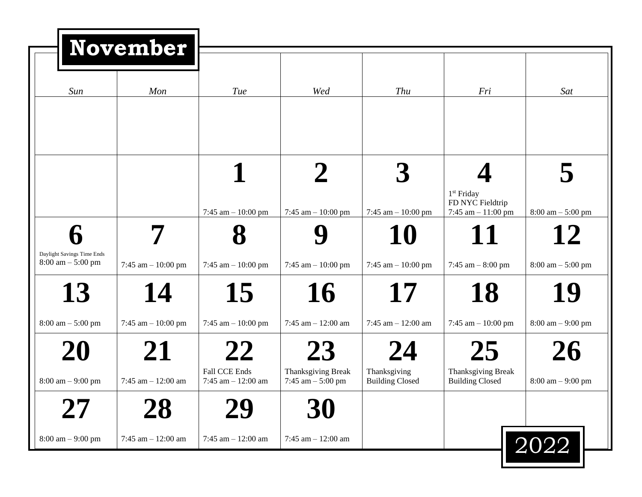|                                                                   | <b>November</b>                   |                                             |                                                 |                                                    |                                                           |                                                    |
|-------------------------------------------------------------------|-----------------------------------|---------------------------------------------|-------------------------------------------------|----------------------------------------------------|-----------------------------------------------------------|----------------------------------------------------|
| Sun                                                               | Mon                               | <b>Tue</b>                                  | Wed                                             | Thu                                                | Fri                                                       | Sat                                                |
|                                                                   |                                   |                                             |                                                 |                                                    | 1 <sup>st</sup> Friday<br>FD NYC Fieldtrip                |                                                    |
| Daylight Savings Time Ends<br>$8:00 \text{ am} - 5:00 \text{ pm}$ | 7:45 am $- 10:00$ pm              | 7:45 am $-10:00$ pm<br>7:45 am $-10:00$ pm  | 7:45 am $- 10:00$ pm<br>7:45 am $- 10:00$ pm    | 7:45 am $- 10:00$ pm<br>10<br>7:45 am $- 10:00$ pm | 7:45 am $- 11:00$ pm<br>11<br>7:45 am $-8:00$ pm          | $8:00$ am $-5:00$ pm<br>12<br>$8:00$ am $-5:00$ pm |
| 13<br>$8:00$ am $-5:00$ pm                                        | 14<br>7:45 am $- 10:00$ pm        | 15<br>7:45 am $-10:00$ pm                   | 16<br>7:45 am $- 12:00$ am                      | 17<br>7:45 am $- 12:00$ am                         | 18<br>7:45 am $- 10:00$ pm                                | 19<br>$8:00 \text{ am} - 9:00 \text{ pm}$          |
| 20<br>$8:00 \text{ am} - 9:00 \text{ pm}$                         | 21<br>7:45 am $- 12:00$ am        | 22<br>Fall CCE Ends<br>7:45 am $- 12:00$ am | 23<br>Thanksgiving Break<br>7:45 am $-$ 5:00 pm | 24<br>Thanksgiving<br><b>Building Closed</b>       | 25<br><b>Thanksgiving Break</b><br><b>Building Closed</b> | 26<br>$8:00 \text{ am} - 9:00 \text{ pm}$          |
| <b>27</b><br>$8:00 \text{ am} - 9:00 \text{ pm}$                  | <b>28</b><br>7:45 am $- 12:00$ am | 29<br>7:45 am $- 12:00$ am                  | 30<br>7:45 am $- 12:00$ am                      |                                                    |                                                           | 2022                                               |